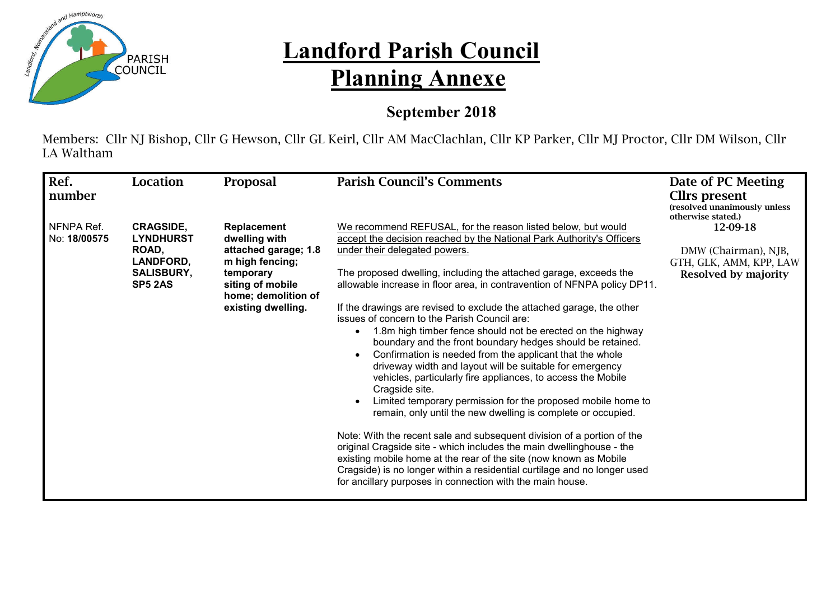

## **Landford Parish Council Planning Annexe**

## **September 2018**

Members: Cllr NJ Bishop, Cllr G Hewson, Cllr GL Keirl, Cllr AM MacClachlan, Cllr KP Parker, Cllr MJ Proctor, Cllr DM Wilson, Cllr LA Waltham

| Ref.                       | Location                                                                                          | <b>Proposal</b>                                                                                                                                       | <b>Parish Council's Comments</b>                                                                                                                                                                                                                                                                                                                                                                                                                                                                                                                                                                                                                                                                                                                                                                                                                                                                                                                                                                                                                                                                                                                                                                                                                                                        | Date of PC Meeting                                                                  |
|----------------------------|---------------------------------------------------------------------------------------------------|-------------------------------------------------------------------------------------------------------------------------------------------------------|-----------------------------------------------------------------------------------------------------------------------------------------------------------------------------------------------------------------------------------------------------------------------------------------------------------------------------------------------------------------------------------------------------------------------------------------------------------------------------------------------------------------------------------------------------------------------------------------------------------------------------------------------------------------------------------------------------------------------------------------------------------------------------------------------------------------------------------------------------------------------------------------------------------------------------------------------------------------------------------------------------------------------------------------------------------------------------------------------------------------------------------------------------------------------------------------------------------------------------------------------------------------------------------------|-------------------------------------------------------------------------------------|
| number                     |                                                                                                   |                                                                                                                                                       |                                                                                                                                                                                                                                                                                                                                                                                                                                                                                                                                                                                                                                                                                                                                                                                                                                                                                                                                                                                                                                                                                                                                                                                                                                                                                         | <b>Cllrs</b> present<br>(resolved unanimously unless<br>otherwise stated.)          |
| NFNPA Ref.<br>No: 18/00575 | <b>CRAGSIDE,</b><br><b>LYNDHURST</b><br>ROAD,<br>LANDFORD,<br><b>SALISBURY,</b><br><b>SP5 2AS</b> | Replacement<br>dwelling with<br>attached garage; 1.8<br>m high fencing;<br>temporary<br>siting of mobile<br>home; demolition of<br>existing dwelling. | We recommend REFUSAL, for the reason listed below, but would<br>accept the decision reached by the National Park Authority's Officers<br>under their delegated powers.<br>The proposed dwelling, including the attached garage, exceeds the<br>allowable increase in floor area, in contravention of NFNPA policy DP11.<br>If the drawings are revised to exclude the attached garage, the other<br>issues of concern to the Parish Council are:<br>1.8m high timber fence should not be erected on the highway<br>boundary and the front boundary hedges should be retained.<br>Confirmation is needed from the applicant that the whole<br>driveway width and layout will be suitable for emergency<br>vehicles, particularly fire appliances, to access the Mobile<br>Cragside site.<br>Limited temporary permission for the proposed mobile home to<br>remain, only until the new dwelling is complete or occupied.<br>Note: With the recent sale and subsequent division of a portion of the<br>original Cragside site - which includes the main dwellinghouse - the<br>existing mobile home at the rear of the site (now known as Mobile<br>Cragside) is no longer within a residential curtilage and no longer used<br>for ancillary purposes in connection with the main house. | 12-09-18<br>DMW (Chairman), NJB,<br>GTH, GLK, AMM, KPP, LAW<br>Resolved by majority |